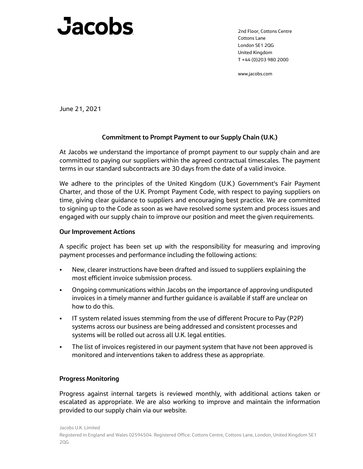## Jacobs

2nd Floor, Cottons Centre Cottons Lane London SE1 2QG United Kingdom T +44 (0)203 980 2000

www.jacobs.com

June 21, 2021

## **Commitment to Prompt Payment to our Supply Chain (U.K.)**

At Jacobs we understand the importance of prompt payment to our supply chain and are committed to paying our suppliers within the agreed contractual timescales. The payment terms in our standard subcontracts are 30 days from the date of a valid invoice.

We adhere to the principles of the United Kingdom (U.K.) Government's Fair Payment Charter, and those of the U.K. Prompt Payment Code, with respect to paying suppliers on time, giving clear guidance to suppliers and encouraging best practice. We are committed to signing up to the Code as soon as we have resolved some system and process issues and engaged with our supply chain to improve our position and meet the given requirements.

## **Our Improvement Actions**

A specific project has been set up with the responsibility for measuring and improving payment processes and performance including the following actions:

- New, clearer instructions have been drafted and issued to suppliers explaining the most efficient invoice submission process.
- Ongoing communications within Jacobs on the importance of approving undisputed invoices in a timely manner and further guidance is available if staff are unclear on how to do this.
- IT system related issues stemming from the use of different Procure to Pay (P2P) systems across our business are being addressed and consistent processes and systems will be rolled out across all U.K. legal entities.
- The list of invoices registered in our payment system that have not been approved is monitored and interventions taken to address these as appropriate.

## **Progress Monitoring**

Progress against internal targets is reviewed monthly, with additional actions taken or escalated as appropriate. We are also working to improve and maintain the information provided to our supply chain via our website.